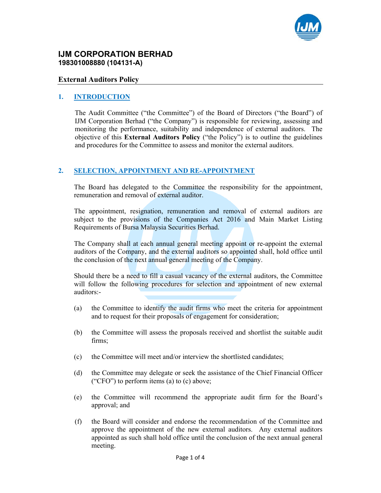

## **IJM CORPORATION BERHAD 198301008880 (104131-A)**

#### **External Auditors Policy**

#### **1. INTRODUCTION**

The Audit Committee ("the Committee") of the Board of Directors ("the Board") of IJM Corporation Berhad ("the Company") is responsible for reviewing, assessing and monitoring the performance, suitability and independence of external auditors. The objective of this **External Auditors Policy** ("the Policy") is to outline the guidelines and procedures for the Committee to assess and monitor the external auditors.

#### **2. SELECTION, APPOINTMENT AND RE-APPOINTMENT**

The Board has delegated to the Committee the responsibility for the appointment, remuneration and removal of external auditor.

The appointment, resignation, remuneration and removal of external auditors are subject to the provisions of the Companies Act 2016 and Main Market Listing Requirements of Bursa Malaysia Securities Berhad.

The Company shall at each annual general meeting appoint or re-appoint the external auditors of the Company, and the external auditors so appointed shall, hold office until the conclusion of the next annual general meeting of the Company.

Should there be a need to fill a casual vacancy of the external auditors, the Committee will follow the following procedures for selection and appointment of new external auditors:-

- (a) the Committee to identify the audit firms who meet the criteria for appointment and to request for their proposals of engagement for consideration;
- (b) the Committee will assess the proposals received and shortlist the suitable audit firms;
- (c) the Committee will meet and/or interview the shortlisted candidates;
- (d) the Committee may delegate or seek the assistance of the Chief Financial Officer ("CFO") to perform items (a) to (c) above;
- (e) the Committee will recommend the appropriate audit firm for the Board's approval; and
- (f) the Board will consider and endorse the recommendation of the Committee and approve the appointment of the new external auditors. Any external auditors appointed as such shall hold office until the conclusion of the next annual general meeting.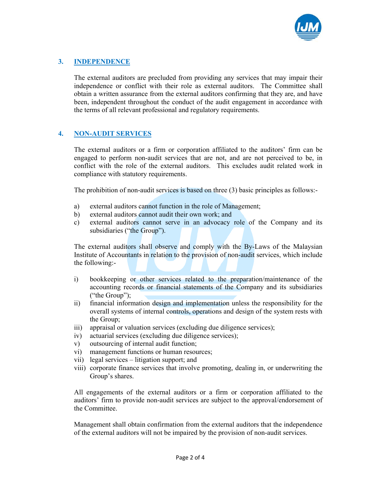

# **3. INDEPENDENCE**

The external auditors are precluded from providing any services that may impair their independence or conflict with their role as external auditors. The Committee shall obtain a written assurance from the external auditors confirming that they are, and have been, independent throughout the conduct of the audit engagement in accordance with the terms of all relevant professional and regulatory requirements.

### **4. NON-AUDIT SERVICES**

The external auditors or a firm or corporation affiliated to the auditors' firm can be engaged to perform non-audit services that are not, and are not perceived to be, in conflict with the role of the external auditors. This excludes audit related work in compliance with statutory requirements.

The prohibition of non-audit services is based on three (3) basic principles as follows:-

- a) external auditors cannot function in the role of Management;
- b) external auditors cannot audit their own work; and
- c) external auditors cannot serve in an advocacy role of the Company and its subsidiaries ("the Group").

The external auditors shall observe and comply with the By-Laws of the Malaysian Institute of Accountants in relation to the provision of non-audit services, which include the following:-

- i) bookkeeping or other services related to the preparation/maintenance of the accounting records or financial statements of the Company and its subsidiaries ("the Group");
- ii) financial information design and implementation unless the responsibility for the overall systems of internal controls, operations and design of the system rests with the Group;
- iii) appraisal or valuation services (excluding due diligence services);
- iv) actuarial services (excluding due diligence services);
- v) outsourcing of internal audit function;
- vi) management functions or human resources;
- vii) legal services litigation support; and
- viii) corporate finance services that involve promoting, dealing in, or underwriting the Group's shares.

All engagements of the external auditors or a firm or corporation affiliated to the auditors' firm to provide non-audit services are subject to the approval/endorsement of the Committee.

Management shall obtain confirmation from the external auditors that the independence of the external auditors will not be impaired by the provision of non-audit services.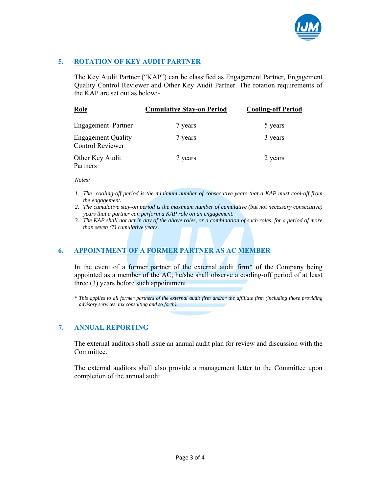

# **5. ROTATION OF KEY AUDIT PARTNER**

The Key Audit Partner ("KAP") can be classified as Engagement Partner, Engagement Quality Control Reviewer and Other Key Audit Partner. The rotation requirements of the KAP are set out as below:-

| Role                                                 | <b>Cumulative Stay-on Period</b> | <b>Cooling-off Period</b> |
|------------------------------------------------------|----------------------------------|---------------------------|
| Engagement Partner                                   | 7 years                          | 5 years                   |
| <b>Engagement Quality</b><br><b>Control Reviewer</b> | 7 years                          | 3 years                   |
| Other Key Audit<br>Partners                          | 7 years                          | 2 years                   |

*Notes:* 

- *1. The cooling-off period is the minimum number of consecutive years that a KAP must cool-off from the engagement.*
- *2. The cumulative stay-on period is the maximum number of cumulative (but not necessary consecutive) years that a partner can perform a KAP role on an engagement.*
- *3. The KAP shall not act in any of the above roles, or a combination of such roles, for a period of more than seven (7) cumulative years.*

### **6. APPOINTMENT OF A FORMER PARTNER AS AC MEMBER**

In the event of a former partner of the external audit firm\* of the Company being appointed as a member of the AC, he/she shall observe a cooling-off period of at least three (3) years before such appointment.

\* *This applies to all former partners of the external audit firm and/or the affiliate firm (including those providing advisory services, tax consulting and so forth).*

#### **7. ANNUAL REPORTING**

The external auditors shall issue an annual audit plan for review and discussion with the Committee.

The external auditors shall also provide a management letter to the Committee upon completion of the annual audit.